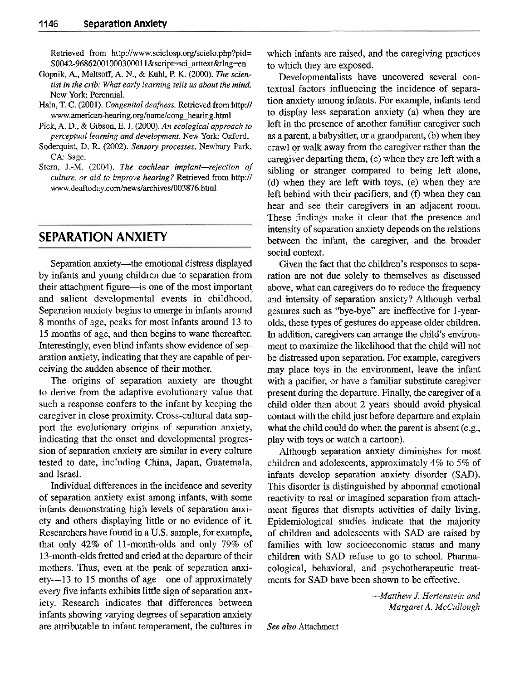Retrieved from http://www.scielosp.org/scielo.php?pid= S0042-96862001000300011&script=sci\_arttext&tIng=en

- Gopnik, **A.,** Meltsoff, **A.** N., & Kuhl, P. K. (2000). *The scientist in the crib: What early learning tells us about the mind.*  New York: Perennial.
- Hain, T. C. (2001). *Congenital deafness*. Retrieved from http:// www.american-hearing.org/name/cong hearing.html
- Pick, A. D., & Gibson, E. J. (2000). An ecological approach to *perceptual learning and development.* New York: Oxford.
- Soderquist, D. R. (2002). *Sensory processes.* Newbury *Park,*  CA: Sage.
- Stern, J.-M. (2004). The cochlear implant-rejection of *culture, or aid to improve hearing?* Retrieved from http:// www.deaftoday.com/news/archives/003876.html

## **SEPARATION ANXIETY**

Separation anxiety-the emotional distress displayed by infants and young children due to separation from their attachment figure—is one of the most important and salient developmental events in childhood. Separation anxiety begins to emerge in infants around 8 months of age, peaks for most infants around 13 to 15 months of age, and then begins to wane thereafter. Interestingly, even blind infants show evidence of separation anxiety, indicating that they are capable of perceiving the sudden absence of their mother.

The origins of separation anxiety are thought to derive from the adaptive evolutionary value that such a response confers to the infant by keeping the caregiver in close proximity. Cross-cultural data support the evolutionary origins of separation anxiety, indicating that the onset and developmental progression of separation anxiety are similar in every culture tested to date, including China, Japan, Guatemala, and Israel.

Individual differences in the incidence and severity of separation anxiety exist among infants, with some infants demonstrating high levels of separation anxiety and others displaying little or no evidence of it. Researchers have found in a U.S. sample, for example, that only 42% of 11-month-olds and only 79% of 13-month-olds fretted and cried at the departure of their mothers. Thus, even at the peak of separation anxiety—13 to 15 months of age—one of approximately every five infants exhibits little sign of separation anxiety. Research indicates that differences between infants showing varying degrees of separation anxiety are attributable to infant temperament, the cultures in which infants are raised, and the caregiving practices to which they are exposed.

Developmentalists have uncovered several contextual factors influencing the incidence of separation anxiety among infants. For example, infants tend to display less separation anxiety (a) when they are left in the presence of another familiar caregiver such as a parent, a babysitter, or a grandparent, (b) when they crawl or walk away from the caregiver rather than the caregiver departing them, (c) when they are left with a sibling or stranger compared to being left alone, (d) when they are left with toys, (e) when they are left behind with their pacifiers, and  $(f)$  when they can hear and see their caregivers in an adjacent room. These findings make it clear that the presence and intensity of separation anxiety depends on the relations between the infant, the caregiver, and the broader social context.

Given the fact that the children's responses to separation are not due solely to themselves as discussed above, what can caregivers do to reduce the frequency and intensity of separation anxiety? Although verbal gestures such as "bye-bye" are ineffective for l-yearolds, these types of gestures do appease older children. In addition, caregivers can arrange the child's environment to maximize the likelihood that the child will not he distressed upon separation. For example, caregivers may place toys in the environment, leave the infant with a pacifier, or have a familiar substitute caregiver present during the departure. Finally, the caregiver of a child older than about 2 years should avoid physical contact with the child just before departure and explain what the child could do when the parent is absent (e.g., play with toys or watch a cartoon).

Although separation anxiety diminishes for most children and adolescents, approximately 4% to 5% of infants develop separation anxiety disorder (SAD). This disorder is distinguished by abnormal emotional reactivity to real or imagined separation from attachment figures that disrupts activities of daily living. Epidemiological studies indicate that the majority of children and adolescents with SAD are raised by families with low socioeconomic status and many children with SAD refuse to go to school. Pharmacological, behavioral, and psychotherapeutic treatments for SAD have been shown to be effective.

> *-Matthew J. Hertenstein and Margaret A. McCullough*

*See also* Attachment